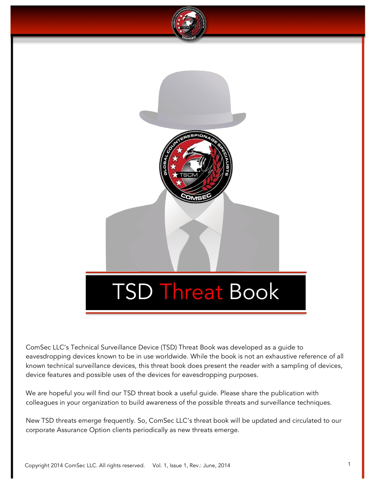

ComSec LLC's Technical Surveillance Device (TSD) Threat Book was developed as a guide to eavesdropping devices known to be in use worldwide. While the book is not an exhaustive reference of all known technical surveillance devices, this threat book does present the reader with a sampling of devices, device features and possible uses of the devices for eavesdropping purposes.

We are hopeful you will find our TSD threat book a useful guide. Please share the publication with colleagues in your organization to build awareness of the possible threats and surveillance techniques.

New TSD threats emerge frequently. So, ComSec LLC's threat book will be updated and circulated to our corporate Assurance Option clients periodically as new threats emerge.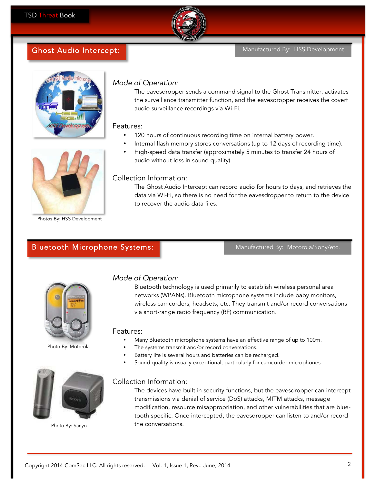

# Ghost Audio Intercept:



## Mode of Operation:

The eavesdropper sends a command signal to the Ghost Transmitter, activates the surveillance transmitter function, and the eavesdropper receives the covert audio surveillance recordings via Wi-Fi.

Features:

- 120 hours of continuous recording time on internal battery power.
- Internal flash memory stores conversations (up to 12 days of recording time).
- High-speed data transfer (approximately 5 minutes to transfer 24 hours of audio without loss in sound quality).



Photos By: HSS Development

### Collection Information:

The Ghost Audio Intercept can record audio for hours to days, and retrieves the data via Wi-Fi, so there is no need for the eavesdropper to return to the device to recover the audio data files.

# Bluetooth Microphone Systems:

Manufactured By: Motorola/Sony/etc.



Photo By: Motorola



Photo By: Sanyo

## Mode of Operation:

Bluetooth technology is used primarily to establish wireless personal area networks (WPANs). Bluetooth microphone systems include baby monitors, wireless camcorders, headsets, etc. They transmit and/or record conversations via short-range radio frequency (RF) communication.

#### Features:

- Many Bluetooth microphone systems have an effective range of up to 100m.
- The systems transmit and/or record conversations.
- Battery life is several hours and batteries can be recharged.
- Sound quality is usually exceptional, particularly for camcorder microphones.

#### Collection Information:

The devices have built in security functions, but the eavesdropper can intercept transmissions via denial of service (DoS) attacks, MITM attacks, message modification, resource misappropriation, and other vulnerabilities that are bluetooth specific. Once intercepted, the eavesdropper can listen to and/or record the conversations.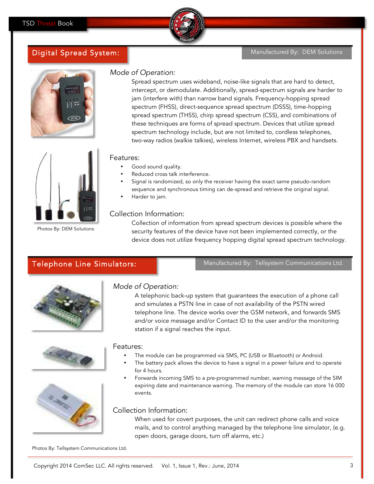

#### Manufactured By: DEM Solutions



Digital Spread System:



Photos By: DEM Solutions

## Mode of Operation:

Spread spectrum uses wideband, noise-like signals that are hard to detect, intercept, or demodulate. Additionally, spread-spectrum signals are harder to jam (interfere with) than narrow band signals. Frequency-hopping spread spectrum (FHSS), direct-sequence spread spectrum (DSSS), time-hopping spread spectrum (THSS), chirp spread spectrum (CSS), and combinations of these techniques are forms of spread spectrum. Devices that utilize spread spectrum technology include, but are not limited to, cordless telephones, two-way radios (walkie talkies), wireless Internet, wireless PBX and handsets.

#### Features:

- Good sound quality.
- Reduced cross talk interference.
- Signal is randomized, so only the receiver having the exact same pseudo-random sequence and synchronous timing can de-spread and retrieve the original signal.
- Harder to jam.

#### Collection Information:

Collection of information from spread spectrum devices is possible where the security features of the device have not been implemented correctly, or the device does not utilize frequency hopping digital spread spectrum technology.

# Telephone Line Simulators:

Manufactured By: Tellsystem Communications Ltd.



#### Mode of Operation:

A telephonic back-up system that guarantees the execution of a phone call and simulates a PSTN line in case of not availability of the PSTN wired telephone line. The device works over the GSM network, and forwards SMS and/or voice message and/or Contact ID to the user and/or the monitoring station if a signal reaches the input.



#### Features:

- The module can be programmed via SMS, PC (USB or Bluetooth) or Android.
- The battery pack allows the device to have a signal in a power failure and to operate for 4 hours.
- Forwards incoming SMS to a pre-programmed number, warning message of the SIM expiring date and maintenance warning. The memory of the module can store 16 000 events.

#### Collection Information:

When used for covert purposes, the unit can redirect phone calls and voice mails, and to control anything managed by the telephone line simulator, (e.g. open doors, garage doors, turn off alarms, etc.)

Photos By: Tellsystem Communications Ltd.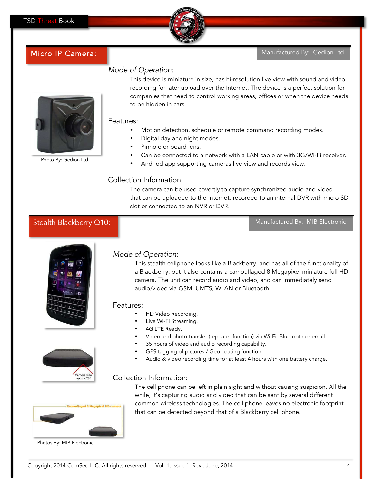

# Micro IP Camera:

#### Manufactured By: Gedion Ltd.

## Mode of Operation:



Photo By: Gedion Ltd.

### This device is miniature in size, has hi-resolution live view with sound and video recording for later upload over the Internet. The device is a perfect solution for companies that need to control working areas, offices or when the device needs to be hidden in cars.

#### Features:

- Motion detection, schedule or remote command recording modes.
- Digital day and night modes.
- Pinhole or board lens.
- Can be connected to a network with a LAN cable or with 3G/Wi-Fi receiver.
- Andriod app supporting cameras live view and records view.

## Collection Information:

The camera can be used covertly to capture synchronized audio and video that can be uploaded to the Internet, recorded to an internal DVR with micro SD slot or connected to an NVR or DVR.

## Stealth Blackberry Q10:

Manufactured By: MIB Electronic







Photos By: MIB Electronic

## Mode of Operation:

This stealth cellphone looks like a Blackberry, and has all of the functionality of a Blackberry, but it also contains a camouflaged 8 Megapixel miniature full HD camera. The unit can record audio and video, and can immediately send audio/video via GSM, UMTS, WLAN or Bluetooth.

#### Features:

- HD Video Recording.
- Live Wi-Fi Streaming.
- 4G LTE Ready.
- Video and photo transfer (repeater function) via Wi-Fi, Bluetooth or email.
- 35 hours of video and audio recording capability.
- GPS tagging of pictures / Geo coating function.
- Audio & video recording time for at least 4 hours with one battery charge.

## Collection Information:



The cell phone can be left in plain sight and without causing suspicion. All the while, it's capturing audio and video that can be sent by several different common wireless technologies. The cell phone leaves no electronic footprint that can be detected beyond that of a Blackberry cell phone.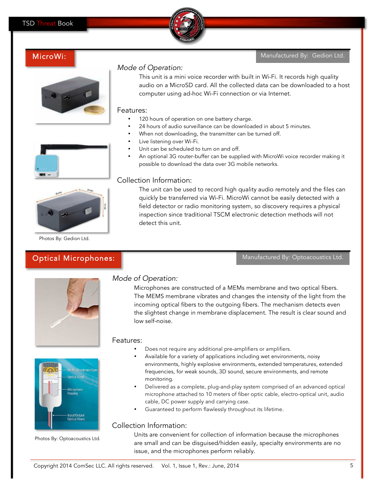

#### Manufactured By: Gedion Ltd.







## Mode of Operation:

This unit is a mini voice recorder with built in Wi-Fi. It records high quality audio on a MicroSD card. All the collected data can be downloaded to a host computer using ad-hoc Wi-Fi connection or via Internet.

#### Features:

- 120 hours of operation on one battery charge.
- 24 hours of audio surveillance can be downloaded in about 5 minutes.
- When not downloading, the transmitter can be turned off.
- Live listening over Wi-Fi.
- Unit can be scheduled to turn on and off.
- An optional 3G router-buffer can be supplied with MicroWi voice recorder making it possible to download the data over 3G mobile networks.

Photos By: Gedion Ltd.

# Optical Microphones:

#### Collection Information:

The unit can be used to record high quality audio remotely and the files can quickly be transferred via Wi-Fi. MicroWi cannot be easily detected with a field detector or radio monitoring system, so discovery requires a physical inspection since traditional TSCM electronic detection methods will not detect this unit.

Manufactured By: Optoacoustics Ltd.





Photos By: Optoacoustics Ltd.

# Mode of Operation:

Microphones are constructed of a MEMs membrane and two optical fibers. The MEMS membrane vibrates and changes the intensity of the light from the incoming optical fibers to the outgoing fibers. The mechanism detects even the slightest change in membrane displacement. The result is clear sound and low self-noise.

## Features:

- Does not require any additional pre-amplifiers or amplifiers.
- Available for a variety of applications including wet environments, noisy environments, highly explosive environments, extended temperatures, extended frequencies, for weak sounds, 3D sound, secure environments, and remote monitoring.
- Delivered as a complete, plug-and-play system comprised of an advanced optical microphone attached to 10 meters of fiber optic cable, electro-optical unit, audio cable, DC power supply and carrying case.
- Guaranteed to perform flawlessly throughout its lifetime.

## Collection Information:

Units are convenient for collection of information because the microphones are small and can be disguised/hidden easily, specialty environments are no issue, and the microphones perform reliably.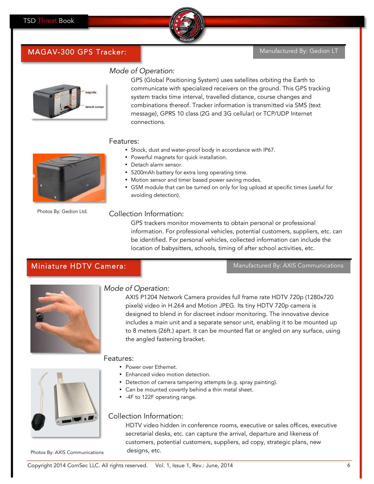

#### Manufactured By: Gedion LT

# MAGAV-300 GPS Tracker:



Mode of Operation:

GPS (Global Positioning System) uses satellites orbiting the Earth to communicate with specialized receivers on the ground. This GPS tracking system tracks time interval, travelled distance, course changes and combinations thereof. Tracker information is transmitted via SMS (text message), GPRS 10 class (2G and 3G cellular) or TCP/UDP Internet connections.

#### Features:

- Shock, dust and water-proof body in accordance with IP67.
- Powerful magnets for quick installation.
- Detach alarm sensor.
- 5200mAh battery for extra long operating time.
- Motion sensor and timer based power saving modes.
- GSM module that can be turned on only for log upload at specific times (useful for avoiding detection).

#### Collection Information:

GPS trackers monitor movements to obtain personal or professional information. For professional vehicles, potential customers, suppliers, etc. can be identified. For personal vehicles, collected information can include the location of babysitters, schools, timing of after school activities, etc.

# Miniature HDTV Camera:

Manufactured By: AXIS Communications



Photos By: Gedion Ltd.

## Mode of Operation:

AXIS P1204 Network Camera provides full frame rate HDTV 720p (1280x720 pixels) video in H.264 and Motion JPEG. Its tiny HDTV 720p camera is designed to blend in for discreet indoor monitoring. The innovative device includes a main unit and a separate sensor unit, enabling it to be mounted up to 8 meters (26ft.) apart. It can be mounted flat or angled on any surface, using the angled fastening bracket.

## Features:

- Power over Ethernet.
- Enhanced video motion detection.
- Detection of camera tampering attempts (e.g. spray painting).
- Can be mounted covertly behind a thin metal sheet.
- -4F to 122F operating range.

## Collection Information:

HDTV video hidden in conference rooms, executive or sales offices, executive secretarial desks, etc. can capture the arrival, departure and likeness of customers, potential customers, suppliers, ad copy, strategic plans, new designs, etc.

Photos By: AXIS Communications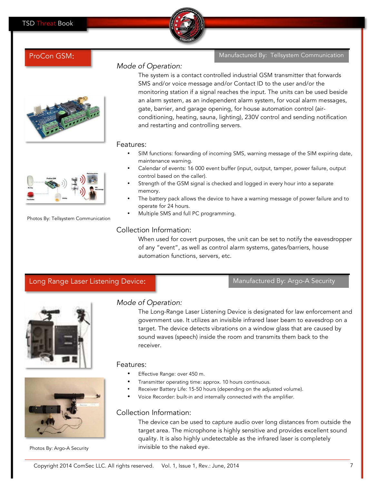

and restarting and controlling servers.

ProCon GSM: The Manufactured By: Tellsystem Communication



• SIM functions: forwarding of incoming SMS, warning message of the SIM expiring date, maintenance warning. • Calendar of events: 16 000 event buffer (input, output, tamper, power failure, output control based on the caller).

The system is a contact controlled industrial GSM transmitter that forwards SMS and/or voice message and/or Contact ID to the user and/or the

monitoring station if a signal reaches the input. The units can be used beside an alarm system, as an independent alarm system, for vocal alarm messages,

conditioning, heating, sauna, lighting), 230V control and sending notification

gate, barrier, and garage opening, for house automation control (air-

- Strength of the GSM signal is checked and logged in every hour into a separate memory.
- The battery pack allows the device to have a warning message of power failure and to operate for 24 hours.
- Multiple SMS and full PC programming.

Long Range Laser Listening Device: Manufactured By: Argo-A Security

## Collection Information:

Mode of Operation:

When used for covert purposes, the unit can be set to notify the eavesdropper of any "event", as well as control alarm systems, gates/barriers, house automation functions, servers, etc.



Mode of Operation:

The Long-Range Laser Listening Device is designated for law enforcement and government use. It utilizes an invisible infrared laser beam to eavesdrop on a target. The device detects vibrations on a window glass that are caused by sound waves (speech) inside the room and transmits them back to the receiver.



Photos By: Argo-A Security

# Features:

- Effective Range: over 450 m.
- Transmitter operating time: approx. 10 hours continuous.
- Receiver Battery Life: 15-50 hours (depending on the adjusted volume).
- Voice Recorder: built-in and internally connected with the amplifier.

## Collection Information:

The device can be used to capture audio over long distances from outside the target area. The microphone is highly sensitive and provides excellent sound quality. It is also highly undetectable as the infrared laser is completely invisible to the naked eye.



Photos By: Tellsystem Communication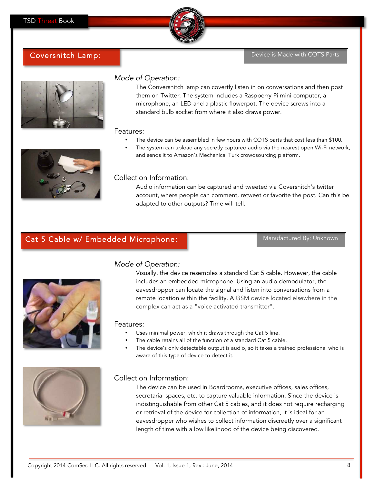

## Coversnitch Lamp: The Coversnitch Lamp: The Coversnitch Lamp: Device is Made with COTS Parts



## Mode of Operation:

The Conversnitch lamp can covertly listen in on conversations and then post them on Twitter. The system includes a Raspberry Pi mini-computer, a microphone, an LED and a plastic flowerpot. The device screws into a standard bulb socket from where it also draws power.

#### Features:

- The device can be assembled in few hours with COTS parts that cost less than \$100.
- The system can upload any secretly captured audio via the nearest open Wi-Fi network, and sends it to Amazon's Mechanical Turk crowdsourcing platform.



## Collection Information:

Audio information can be captured and tweeted via Coversnitch's twitter account, where people can comment, retweet or favorite the post. Can this be adapted to other outputs? Time will tell.

## Cat 5 Cable w/ Embedded Microphone: Network and Manufactured By: Unknown



# Mode of Operation:

Visually, the device resembles a standard Cat 5 cable. However, the cable includes an embedded microphone. Using an audio demodulator, the eavesdropper can locate the signal and listen into conversations from a remote location within the facility. A GSM device located elsewhere in the complex can act as a "voice activated transmitter".

#### Features:

- Uses minimal power, which it draws through the Cat 5 line.
- The cable retains all of the function of a standard Cat 5 cable.
- The device's only detectable output is audio, so it takes a trained professional who is aware of this type of device to detect it.



#### Collection Information:

The device can be used in Boardrooms, executive offices, sales offices, secretarial spaces, etc. to capture valuable information. Since the device is indistinguishable from other Cat 5 cables, and it does not require recharging or retrieval of the device for collection of information, it is ideal for an eavesdropper who wishes to collect information discreetly over a significant length of time with a low likelihood of the device being discovered.